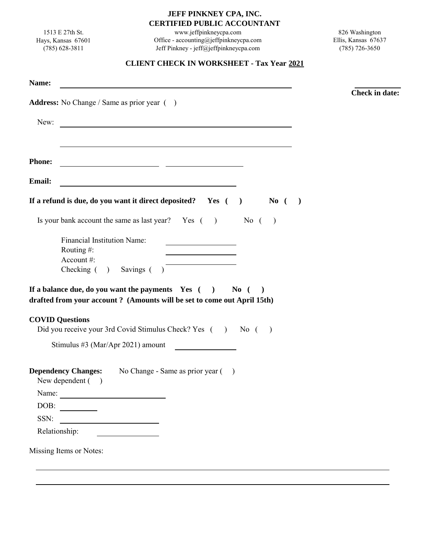## **JEFF PINKNEY CPA, INC. CERTIFIED PUBLIC ACCOUNTANT**

1513 E 27th St. Hays, Kansas 67601 (785) 628-3811

www.jeffpinkneycpa.com Office - accounting@jeffpinkneycpa.com Jeff Pinkney - jeff@jeffpinkneycpa.com

826 Washington Ellis, Kansas 67637 (785) 726-3650

## **CLIENT CHECK IN WORKSHEET - Tax Year 2021**

|               | <u> 1980 - Jan Stein Berlin, amerikan berlin besteht als der stadt av den stadt av den stadt av den stadt av den</u>                                                                                     | <b>Check in date:</b> |
|---------------|----------------------------------------------------------------------------------------------------------------------------------------------------------------------------------------------------------|-----------------------|
|               | <b>Address:</b> No Change / Same as prior year ()                                                                                                                                                        |                       |
| New:          | <u> 1989 - Jan James Barnett, fransk politik (d. 1989)</u>                                                                                                                                               |                       |
| <b>Phone:</b> |                                                                                                                                                                                                          |                       |
|               |                                                                                                                                                                                                          |                       |
| Email:        |                                                                                                                                                                                                          |                       |
|               | If a refund is due, do you want it direct deposited? Yes $( )$ No $( )$                                                                                                                                  |                       |
|               | Is your bank account the same as last year? Yes $($ ) No $($ )                                                                                                                                           |                       |
|               | <b>Financial Institution Name:</b><br><u> 1989 - Johann Barbara, martin a</u><br>Routing $#$ :                                                                                                           |                       |
|               | Account#:                                                                                                                                                                                                |                       |
|               | Checking ( ) Savings ( )                                                                                                                                                                                 |                       |
|               | If a balance due, do you want the payments $\gamma$ and $\gamma$ is $\gamma$ is $\gamma$ is $\gamma$ is $\gamma$<br>$\lambda$<br>drafted from your account? (Amounts will be set to come out April 15th) |                       |
|               | <b>COVID Questions</b>                                                                                                                                                                                   |                       |
|               | Did you receive your 3rd Covid Stimulus Check? Yes () No ()                                                                                                                                              |                       |
|               | Stimulus #3 (Mar/Apr 2021) amount                                                                                                                                                                        |                       |
|               | <b>Dependency Changes:</b> No Change - Same as prior year ()<br>New dependent ()                                                                                                                         |                       |
| Name:         |                                                                                                                                                                                                          |                       |
| DOB:          |                                                                                                                                                                                                          |                       |
| SSN:          |                                                                                                                                                                                                          |                       |
|               | Relationship:                                                                                                                                                                                            |                       |
|               |                                                                                                                                                                                                          |                       |
|               | Missing Items or Notes:                                                                                                                                                                                  |                       |